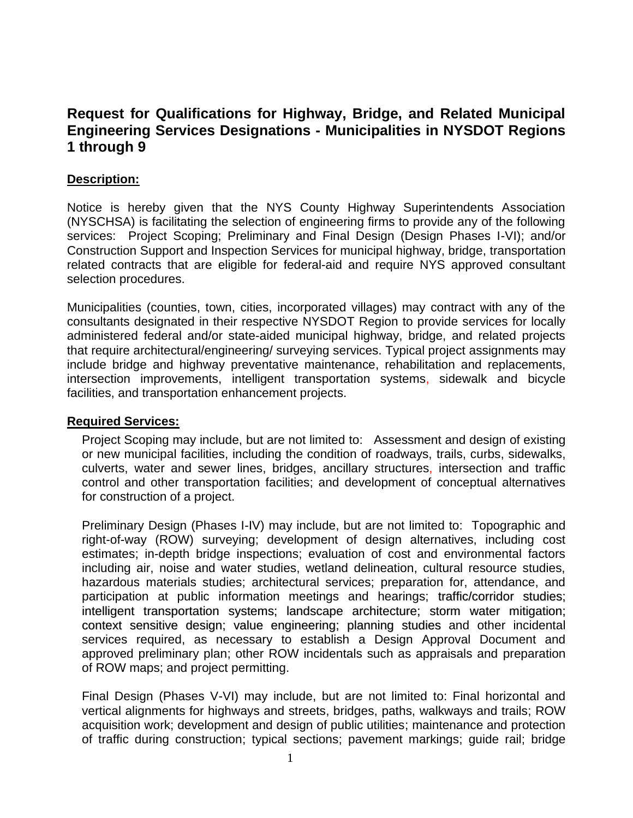# **Request for Qualifications for Highway, Bridge, and Related Municipal Engineering Services Designations - Municipalities in NYSDOT Regions 1 through 9**

### **Description:**

Notice is hereby given that the NYS County Highway Superintendents Association (NYSCHSA) is facilitating the selection of engineering firms to provide any of the following services: Project Scoping; Preliminary and Final Design (Design Phases I-VI); and/or Construction Support and Inspection Services for municipal highway, bridge, transportation related contracts that are eligible for federal-aid and require NYS approved consultant selection procedures.

Municipalities (counties, town, cities, incorporated villages) may contract with any of the consultants designated in their respective NYSDOT Region to provide services for locally administered federal and/or state-aided municipal highway, bridge, and related projects that require architectural/engineering/ surveying services. Typical project assignments may include bridge and highway preventative maintenance, rehabilitation and replacements, intersection improvements, intelligent transportation systems, sidewalk and bicycle facilities, and transportation enhancement projects.

### **Required Services:**

Project Scoping may include, but are not limited to: Assessment and design of existing or new municipal facilities, including the condition of roadways, trails, curbs, sidewalks, culverts, water and sewer lines, bridges, ancillary structures, intersection and traffic control and other transportation facilities; and development of conceptual alternatives for construction of a project.

Preliminary Design (Phases I-IV) may include, but are not limited to: Topographic and right-of-way (ROW) surveying; development of design alternatives, including cost estimates; in-depth bridge inspections; evaluation of cost and environmental factors including air, noise and water studies, wetland delineation, cultural resource studies, hazardous materials studies; architectural services; preparation for, attendance, and participation at public information meetings and hearings; traffic/corridor studies; intelligent transportation systems; landscape architecture; storm water mitigation; context sensitive design; value engineering; planning studies and other incidental services required, as necessary to establish a Design Approval Document and approved preliminary plan; other ROW incidentals such as appraisals and preparation of ROW maps; and project permitting.

Final Design (Phases V-VI) may include, but are not limited to: Final horizontal and vertical alignments for highways and streets, bridges, paths, walkways and trails; ROW acquisition work; development and design of public utilities; maintenance and protection of traffic during construction; typical sections; pavement markings; guide rail; bridge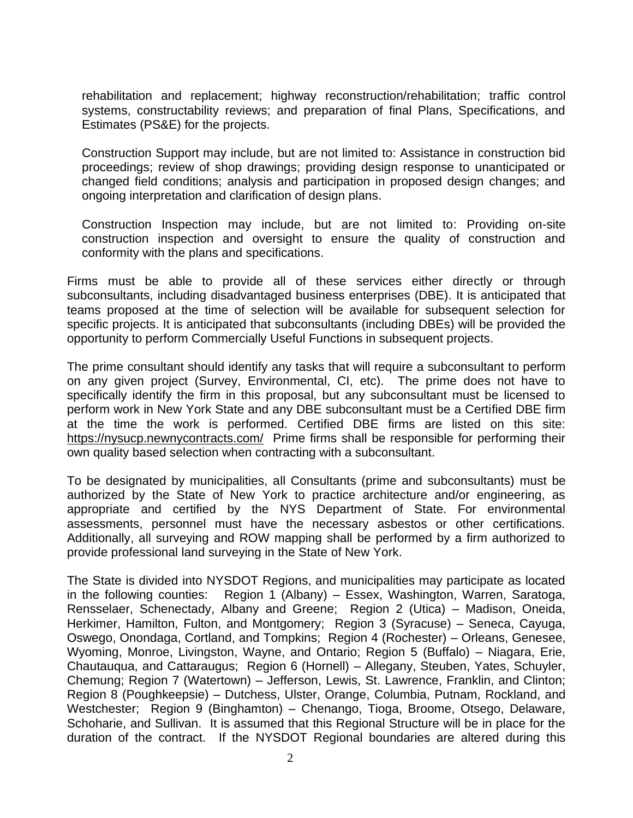rehabilitation and replacement; highway reconstruction/rehabilitation; traffic control systems, constructability reviews; and preparation of final Plans, Specifications, and Estimates (PS&E) for the projects.

Construction Support may include, but are not limited to: Assistance in construction bid proceedings; review of shop drawings; providing design response to unanticipated or changed field conditions; analysis and participation in proposed design changes; and ongoing interpretation and clarification of design plans.

Construction Inspection may include, but are not limited to: Providing on-site construction inspection and oversight to ensure the quality of construction and conformity with the plans and specifications.

Firms must be able to provide all of these services either directly or through subconsultants, including disadvantaged business enterprises (DBE). It is anticipated that teams proposed at the time of selection will be available for subsequent selection for specific projects. It is anticipated that subconsultants (including DBEs) will be provided the opportunity to perform Commercially Useful Functions in subsequent projects.

The prime consultant should identify any tasks that will require a subconsultant to perform on any given project (Survey, Environmental, CI, etc). The prime does not have to specifically identify the firm in this proposal, but any subconsultant must be licensed to perform work in New York State and any DBE subconsultant must be a Certified DBE firm at the time the work is performed. Certified DBE firms are listed on this site: <https://nysucp.newnycontracts.com/>Prime firms shall be responsible for performing their own quality based selection when contracting with a subconsultant.

To be designated by municipalities, all Consultants (prime and subconsultants) must be authorized by the State of New York to practice architecture and/or engineering, as appropriate and certified by the NYS Department of State. For environmental assessments, personnel must have the necessary asbestos or other certifications. Additionally, all surveying and ROW mapping shall be performed by a firm authorized to provide professional land surveying in the State of New York.

The State is divided into NYSDOT Regions, and municipalities may participate as located in the following counties: Region 1 (Albany) – Essex, Washington, Warren, Saratoga, Rensselaer, Schenectady, Albany and Greene; Region 2 (Utica) – Madison, Oneida, Herkimer, Hamilton, Fulton, and Montgomery; Region 3 (Syracuse) – Seneca, Cayuga, Oswego, Onondaga, Cortland, and Tompkins; Region 4 (Rochester) – Orleans, Genesee, Wyoming, Monroe, Livingston, Wayne, and Ontario; Region 5 (Buffalo) – Niagara, Erie, Chautauqua, and Cattaraugus; Region 6 (Hornell) – Allegany, Steuben, Yates, Schuyler, Chemung; Region 7 (Watertown) – Jefferson, Lewis, St. Lawrence, Franklin, and Clinton; Region 8 (Poughkeepsie) – Dutchess, Ulster, Orange, Columbia, Putnam, Rockland, and Westchester; Region 9 (Binghamton) – Chenango, Tioga, Broome, Otsego, Delaware, Schoharie, and Sullivan. It is assumed that this Regional Structure will be in place for the duration of the contract. If the NYSDOT Regional boundaries are altered during this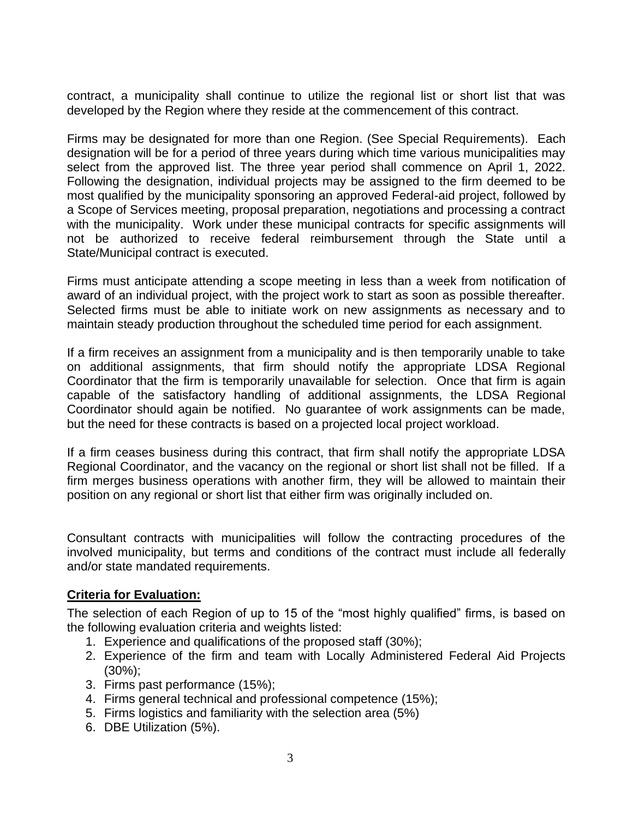contract, a municipality shall continue to utilize the regional list or short list that was developed by the Region where they reside at the commencement of this contract.

Firms may be designated for more than one Region. (See Special Requirements). Each designation will be for a period of three years during which time various municipalities may select from the approved list. The three year period shall commence on April 1, 2022. Following the designation, individual projects may be assigned to the firm deemed to be most qualified by the municipality sponsoring an approved Federal-aid project, followed by a Scope of Services meeting, proposal preparation, negotiations and processing a contract with the municipality. Work under these municipal contracts for specific assignments will not be authorized to receive federal reimbursement through the State until a State/Municipal contract is executed.

Firms must anticipate attending a scope meeting in less than a week from notification of award of an individual project, with the project work to start as soon as possible thereafter. Selected firms must be able to initiate work on new assignments as necessary and to maintain steady production throughout the scheduled time period for each assignment.

If a firm receives an assignment from a municipality and is then temporarily unable to take on additional assignments, that firm should notify the appropriate LDSA Regional Coordinator that the firm is temporarily unavailable for selection. Once that firm is again capable of the satisfactory handling of additional assignments, the LDSA Regional Coordinator should again be notified. No guarantee of work assignments can be made, but the need for these contracts is based on a projected local project workload.

If a firm ceases business during this contract, that firm shall notify the appropriate LDSA Regional Coordinator, and the vacancy on the regional or short list shall not be filled. If a firm merges business operations with another firm, they will be allowed to maintain their position on any regional or short list that either firm was originally included on.

Consultant contracts with municipalities will follow the contracting procedures of the involved municipality, but terms and conditions of the contract must include all federally and/or state mandated requirements.

### **Criteria for Evaluation:**

The selection of each Region of up to 15 of the "most highly qualified" firms, is based on the following evaluation criteria and weights listed:

- 1. Experience and qualifications of the proposed staff (30%);
- 2. Experience of the firm and team with Locally Administered Federal Aid Projects (30%);
- 3. Firms past performance (15%);
- 4. Firms general technical and professional competence (15%);
- 5. Firms logistics and familiarity with the selection area (5%)
- 6. DBE Utilization (5%).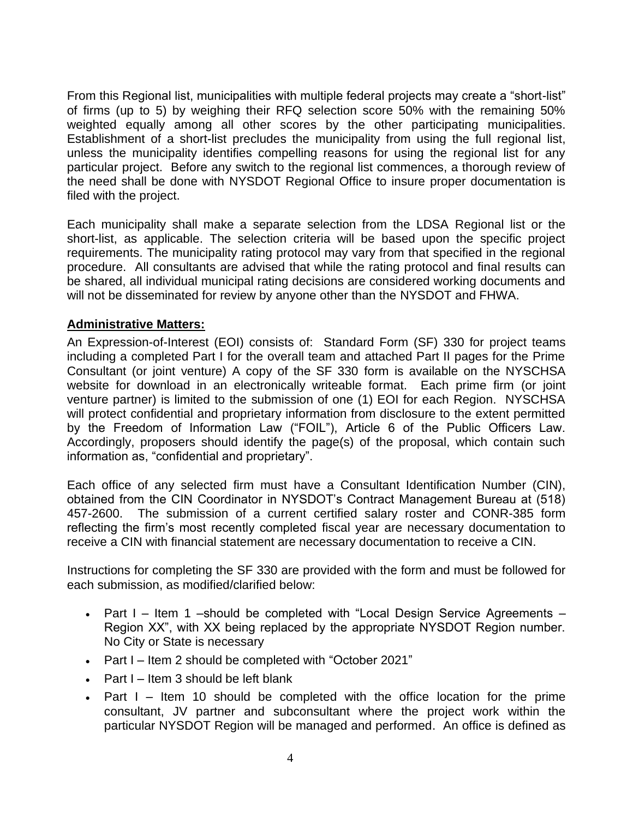From this Regional list, municipalities with multiple federal projects may create a "short-list" of firms (up to 5) by weighing their RFQ selection score 50% with the remaining 50% weighted equally among all other scores by the other participating municipalities. Establishment of a short-list precludes the municipality from using the full regional list, unless the municipality identifies compelling reasons for using the regional list for any particular project. Before any switch to the regional list commences, a thorough review of the need shall be done with NYSDOT Regional Office to insure proper documentation is filed with the project.

Each municipality shall make a separate selection from the LDSA Regional list or the short-list, as applicable. The selection criteria will be based upon the specific project requirements. The municipality rating protocol may vary from that specified in the regional procedure. All consultants are advised that while the rating protocol and final results can be shared, all individual municipal rating decisions are considered working documents and will not be disseminated for review by anyone other than the NYSDOT and FHWA.

### **Administrative Matters:**

An Expression-of-Interest (EOI) consists of: Standard Form (SF) 330 for project teams including a completed Part I for the overall team and attached Part II pages for the Prime Consultant (or joint venture) A copy of the SF 330 form is available on the NYSCHSA website for download in an electronically writeable format. Each prime firm (or joint venture partner) is limited to the submission of one (1) EOI for each Region. NYSCHSA will protect confidential and proprietary information from disclosure to the extent permitted by the Freedom of Information Law ("FOIL"), Article 6 of the Public Officers Law. Accordingly, proposers should identify the page(s) of the proposal, which contain such information as, "confidential and proprietary".

Each office of any selected firm must have a Consultant Identification Number (CIN), obtained from the CIN Coordinator in NYSDOT's Contract Management Bureau at (518) 457-2600. The submission of a current certified salary roster and CONR-385 form reflecting the firm's most recently completed fiscal year are necessary documentation to receive a CIN with financial statement are necessary documentation to receive a CIN.

Instructions for completing the SF 330 are provided with the form and must be followed for each submission, as modified/clarified below:

- Part I Item 1 –should be completed with "Local Design Service Agreements Region XX", with XX being replaced by the appropriate NYSDOT Region number. No City or State is necessary
- Part I Item 2 should be completed with "October 2021"
- Part I Item 3 should be left blank
- Part I Item 10 should be completed with the office location for the prime consultant, JV partner and subconsultant where the project work within the particular NYSDOT Region will be managed and performed. An office is defined as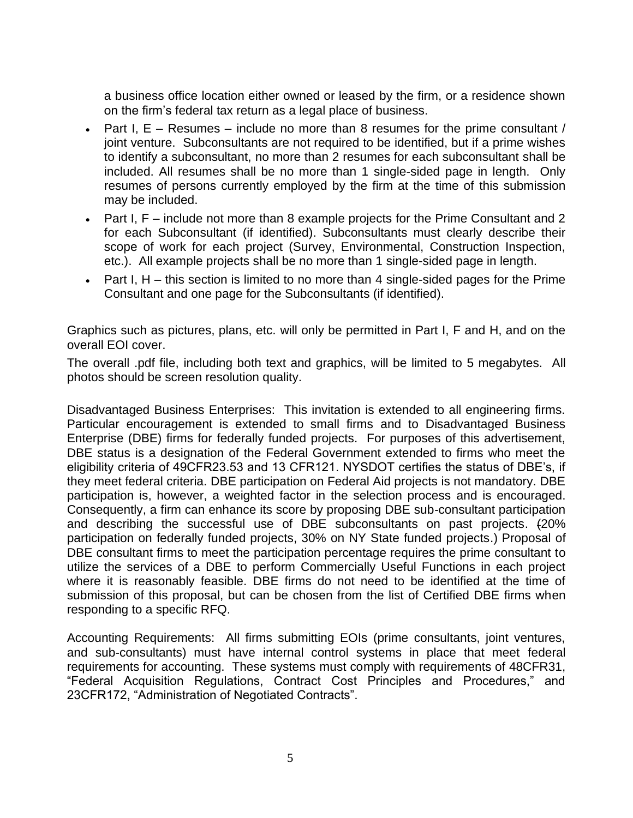a business office location either owned or leased by the firm, or a residence shown on the firm's federal tax return as a legal place of business.

- Part I,  $E -$  Resumes include no more than 8 resumes for the prime consultant / joint venture. Subconsultants are not required to be identified, but if a prime wishes to identify a subconsultant, no more than 2 resumes for each subconsultant shall be included. All resumes shall be no more than 1 single-sided page in length. Only resumes of persons currently employed by the firm at the time of this submission may be included.
- Part I, F include not more than 8 example projects for the Prime Consultant and 2 for each Subconsultant (if identified). Subconsultants must clearly describe their scope of work for each project (Survey, Environmental, Construction Inspection, etc.). All example projects shall be no more than 1 single-sided page in length.
- Part I, H this section is limited to no more than 4 single-sided pages for the Prime Consultant and one page for the Subconsultants (if identified).

Graphics such as pictures, plans, etc. will only be permitted in Part I, F and H, and on the overall EOI cover.

The overall .pdf file, including both text and graphics, will be limited to 5 megabytes. All photos should be screen resolution quality.

Disadvantaged Business Enterprises: This invitation is extended to all engineering firms. Particular encouragement is extended to small firms and to Disadvantaged Business Enterprise (DBE) firms for federally funded projects. For purposes of this advertisement, DBE status is a designation of the Federal Government extended to firms who meet the eligibility criteria of 49CFR23.53 and 13 CFR121. NYSDOT certifies the status of DBE's, if they meet federal criteria. DBE participation on Federal Aid projects is not mandatory. DBE participation is, however, a weighted factor in the selection process and is encouraged. Consequently, a firm can enhance its score by proposing DBE sub-consultant participation and describing the successful use of DBE subconsultants on past projects. (20% participation on federally funded projects, 30% on NY State funded projects.) Proposal of DBE consultant firms to meet the participation percentage requires the prime consultant to utilize the services of a DBE to perform Commercially Useful Functions in each project where it is reasonably feasible. DBE firms do not need to be identified at the time of submission of this proposal, but can be chosen from the list of Certified DBE firms when responding to a specific RFQ.

Accounting Requirements: All firms submitting EOIs (prime consultants, joint ventures, and sub-consultants) must have internal control systems in place that meet federal requirements for accounting. These systems must comply with requirements of 48CFR31, "Federal Acquisition Regulations, Contract Cost Principles and Procedures," and 23CFR172, "Administration of Negotiated Contracts".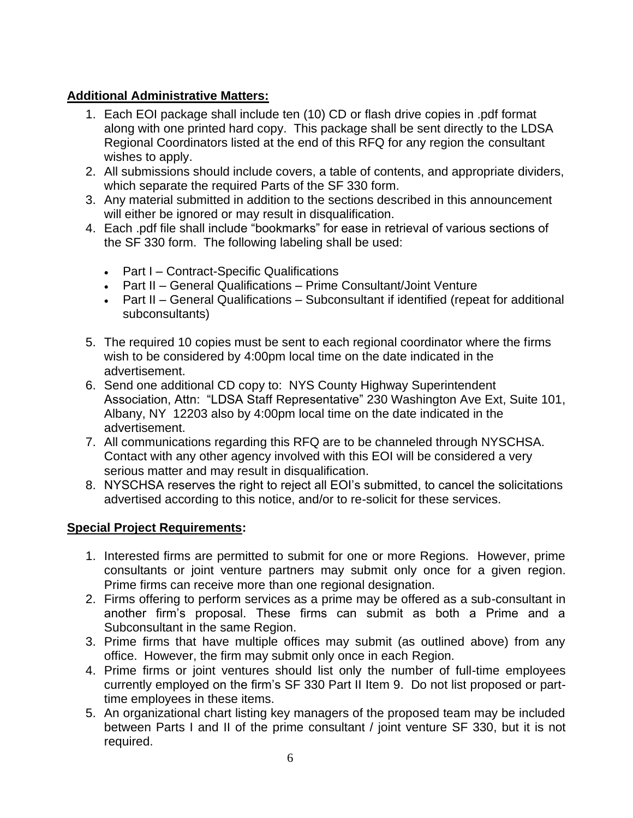## **Additional Administrative Matters:**

- 1. Each EOI package shall include ten (10) CD or flash drive copies in .pdf format along with one printed hard copy. This package shall be sent directly to the LDSA Regional Coordinators listed at the end of this RFQ for any region the consultant wishes to apply.
- 2. All submissions should include covers, a table of contents, and appropriate dividers, which separate the required Parts of the SF 330 form.
- 3. Any material submitted in addition to the sections described in this announcement will either be ignored or may result in disqualification.
- 4. Each .pdf file shall include "bookmarks" for ease in retrieval of various sections of the SF 330 form. The following labeling shall be used:
	- Part I Contract-Specific Qualifications
	- Part II General Qualifications Prime Consultant/Joint Venture
	- Part II General Qualifications Subconsultant if identified (repeat for additional subconsultants)
- 5. The required 10 copies must be sent to each regional coordinator where the firms wish to be considered by 4:00pm local time on the date indicated in the advertisement.
- 6. Send one additional CD copy to: NYS County Highway Superintendent Association, Attn: "LDSA Staff Representative" 230 Washington Ave Ext, Suite 101, Albany, NY 12203 also by 4:00pm local time on the date indicated in the advertisement.
- 7. All communications regarding this RFQ are to be channeled through NYSCHSA. Contact with any other agency involved with this EOI will be considered a very serious matter and may result in disqualification.
- 8. NYSCHSA reserves the right to reject all EOI's submitted, to cancel the solicitations advertised according to this notice, and/or to re-solicit for these services.

# **Special Project Requirements:**

- 1. Interested firms are permitted to submit for one or more Regions. However, prime consultants or joint venture partners may submit only once for a given region. Prime firms can receive more than one regional designation.
- 2. Firms offering to perform services as a prime may be offered as a sub-consultant in another firm's proposal. These firms can submit as both a Prime and a Subconsultant in the same Region.
- 3. Prime firms that have multiple offices may submit (as outlined above) from any office. However, the firm may submit only once in each Region.
- 4. Prime firms or joint ventures should list only the number of full-time employees currently employed on the firm's SF 330 Part II Item 9. Do not list proposed or parttime employees in these items.
- 5. An organizational chart listing key managers of the proposed team may be included between Parts I and II of the prime consultant / joint venture SF 330, but it is not required.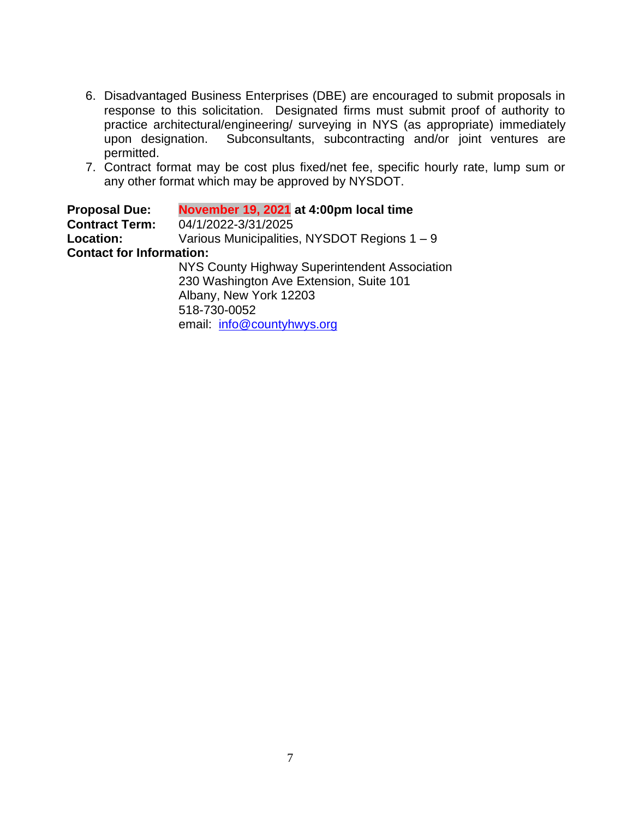- 6. Disadvantaged Business Enterprises (DBE) are encouraged to submit proposals in response to this solicitation. Designated firms must submit proof of authority to practice architectural/engineering/ surveying in NYS (as appropriate) immediately upon designation. Subconsultants, subcontracting and/or joint ventures are permitted.
- 7. Contract format may be cost plus fixed/net fee, specific hourly rate, lump sum or any other format which may be approved by NYSDOT.

**Proposal Due: November 19, 2021 at 4:00pm local time Contract Term:** 04/1/2022-3/31/2025 **Location:** Various Municipalities, NYSDOT Regions 1 – 9 **Contact for Information:** NYS County Highway Superintendent Association

230 Washington Ave Extension, Suite 101 Albany, New York 12203 518-730-0052 email: [info@countyhwys.org](http://www.countyhwys.org/)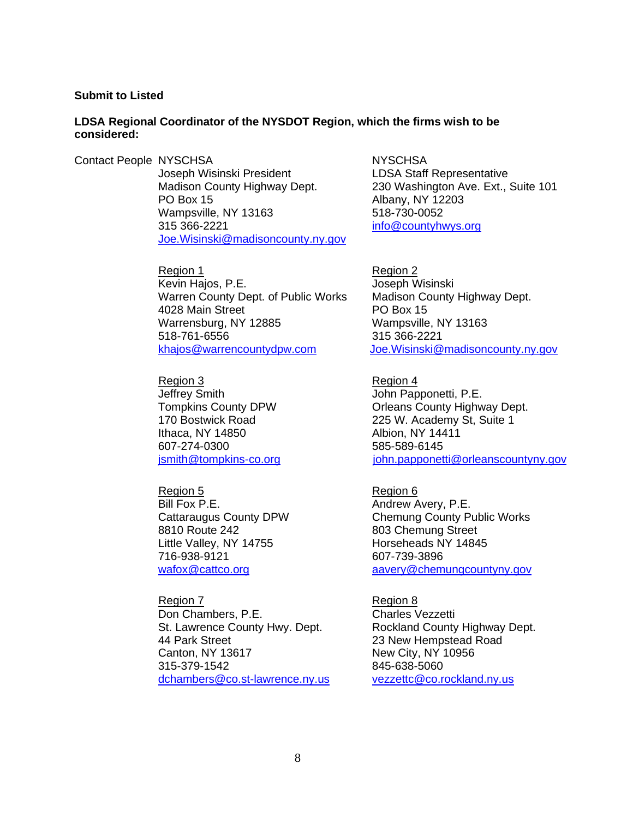#### **Submit to Listed**

#### **LDSA Regional Coordinator of the NYSDOT Region, which the firms wish to be considered:**

Contact People NYSCHSA NYSCHSA Joseph Wisinski President LDSA Staff Representative<br>Madison County Highway Dept. 230 Washington Ave. Ext., PO Box 15 Albany, NY 12203 Wampsville, NY 13163 518-730-0052 315 366-2221 [info@countyhwys.org](mailto:info@countyhwys.org) [Joe.Wisinski@madisoncounty.ny.gov](mailto:Joe.Wisinski@madisoncounty.ny.gov)

> Region 1 Region 2 Kevin Hajos, P.E. **Internal and Alexandria** Joseph Wisinski Warren County Dept. of Public Works Madison County Highway Dept. 4028 Main Street PO Box 15 Warrensburg, NY 12885 Wampsville, NY 13163 518-761-6556 315 366-2221 [khajos@warrencountydpw.com](mailto:khajos@warrencountydpw.com) [Joe.Wisinski@madisoncounty.ny.gov](mailto:Joe.Wisinski@madisoncounty.ny.gov)

Region 3 Region 4 Jeffrey Smith **John Papponetti, P.E.** Ithaca, NY 14850 Albion, NY 14411 607-274-0300 585-589-6145

Region 5 Region 6 Bill Fox P.E. **Andrew Avery, P.E.** Andrew Avery, P.E. 8810 Route 242 803 Chemung Street Little Valley, NY 14755 Horseheads NY 14845 716-938-9121 607-739-3896

Region 7 Region 8 Don Chambers, P.E. Charles Vezzetti St. Lawrence County Hwy. Dept. Rockland County Highway Dept. 44 Park Street 23 New Hempstead Road Canton, NY 13617 New City, NY 10956 315-379-1542 845-638-5060 [dchambers@co.st-lawrence.ny.us](mailto:dchambers@co.st-lawrence.ny.us) [vezzettc@co.rockland.ny.us](mailto:vezzettc@co.rockland.ny.us)

230 Washington Ave. Ext., Suite 101

Tompkins County DPW Orleans County Highway Dept. 170 Bostwick Road 225 W. Academy St, Suite 1 [jsmith@tompkins-co.org](mailto:jsmith@tompkins-co.org) in the internal papponetti@orleanscountyny.gov

Cattaraugus County DPW Chemung County Public Works [wafox@cattco.org](mailto:kevin.Obrien@niagaracounty.com) [aavery@chemungcountyny.gov](mailto:aavery@chemungcountyny.gov)